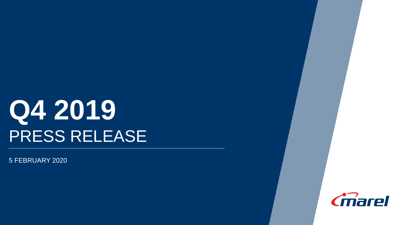# **Q4 2019** PRESS RELEASE

5 FEBRUARY 2020

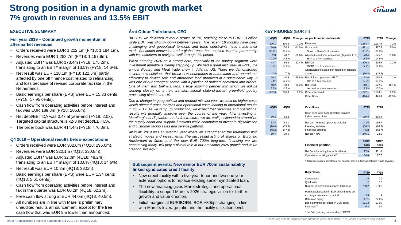### **Strong position in a dynamic growth market 7% growth in revenues and 13.5% EBIT**

#### **EXECUTIVE SUMMARY**

#### **Full year 2019 – Continued growth momentum in aftermarket revenues**

- Orders received were EUR 1,222.1m (FY18: 1,184.1m).
- Revenues were EUR 1,283.7m (FY18: 1,197.9m).
- Adjusted EBIT\* was EUR 173.4m (FY18: 175.2m), translating to an EBIT\* margin of 13.5% (FY18: 14.6%).
- Net result was EUR 110.1m (FY18: 122.5m) partly affected by one off finance cost related to refinancing, and loss because of revised corporate tax rate in the Netherlands.
- Basic earnings per share (EPS) were EUR 15.33 cents (FY18: 17.95 cents).
- Cash flow from operating activities before interest and tax was EUR 189.8m (FY18: 205.8m).
- Net debt/EBITDA was 0.4x at year-end (FY18: 2.0x). Targeted capital structure is x2-3 net debt/EBITDA.
- The order book was EUR 414.4m (FY18: 476.0m).

#### **Q4 2019 – Operational results below expectations**

- Orders received were EUR 302.6m (4Q18: 296.0m).
- Revenues were EUR 320.1m (4Q18: 330.8m).
- Adjusted EBIT\* was EUR 32.0m (4Q18: 48.2m), translating to an EBIT\* margin of 10.0% (4Q18: 14.6%).
- Net result was EUR 10.2m (4Q18: 38.0m).
- Basic earnings per share (EPS) were EUR 1.34 cents (4Q18: 5.61 cents).
- Cash flow from operating activities before interest and tax in the quarter was EUR 60.2m (4Q18: 62.2m).
- Free cash flow strong at EUR 44.0m (4Q18: 40.5m).
- All numbers are in line with Marel´s preliminary unaudited results announcement, except for the free cash flow that was EUR 9m lower than announced.

#### **Árni Oddur Thórdarson, CEO**

*"In 2019 we delivered revenue growth of 7%, reaching close to EUR 1.3 billion while EBIT was slightly down between years. The recent 18 months have been challenging and geopolitical tensions and trade constraints have made their mark. Continued innovation and a global reach has enabled Marel in partnership with its customers to navigate well through this period.*

*We're entering 2020 on a strong note, especially in the poultry segment were investment appetite is clearly stepping up. We had a great last week at IPPE, the annual Poultry and Meat trade show in Atlanta, US. There we demonstrated several new solutions that break new boundaries in automation and operational efficiency to deliver safe and affordable food produced in a sustainable way. It was one of our strongest shows with a pipeline of projects converted into orders. One of them with Bell & Evans, a truly inspiring partner with whom we will be working closely on a new transformational state-of-the-art greenfield poultry processing plant in the US.*

*Due to change in geographical and product mix last year, we took on higher costs which affected gross margins and operational costs leading to operational results in 4Q 2019. As we ramp up production, we expect that revenues and operational results will gradually improve over the course of the year. After investing in Marel´s global IT platform and infrastructure, we are well positioned to streamline the supply chain and support functions while continuing to invest in digitalization and customer facing sales and service platform.*

*All in all, 2019 was an eventful year where we strengthened the foundation with strategic moves and investments. The successful listing of shares on Euronext Amsterdam in June, and the new EUR 700m long-term financing we are announcing today, will play a pivotal role in our ambitious 2026 growth and value creation strategy."*

#### **Subsequent events: New senior EUR 700m sustainability linked syndicated credit facility**

- New credit facility with a five year tenor and two one year extension options to replace existing senior syndicated loan.
- The new financing gives Marel strategic and operational flexibility to support Marel´s 2026 strategic vision for further growth and value creation.
- Initial margins at EURIBOR/LIBOR +80bps changing in line with Marel´s leverage ratio and the facility utilization level.

#### **KEY FIGURES** (EUR m)

| 4Q19  | 4Q18  | Change    | As per financial statements                      | <b>FY19</b> | <b>FY18</b> | Change   |
|-------|-------|-----------|--------------------------------------------------|-------------|-------------|----------|
| 320.1 | 330.8 | $-3.2\%$  | Revenues                                         | 1,283.7     | 1,197.9     | 7.2%     |
| 116.0 | 130.3 | $-11.0%$  | Gross profit                                     | 491.1       | 467.5       | 5.0%     |
| 36.2% | 39.4% |           | Gross profit as a % of revenues                  | 38.3%       | 39.0%       |          |
| 32.0  | 48.2  | $-33.6\%$ | Adjusted result from operations (Adjusted EBIT)  | 173.4       | 175.2       | $-1.0%$  |
| 10.0% | 14.6% |           | EBIT* as a % of revenues                         | 13.5%       | 14.6%       |          |
| 43.7  | 56.3  | $-22.4%$  | <b>EBITDA</b>                                    | 220.3       | 215.5       | 2.2%     |
| 13.7% | 17.0% |           | EBITDA as a % of revenues                        | 17.2%       | 18.0%       |          |
|       |       |           | Amortization of acquisition-related (in)tangible |             |             |          |
| (2.8) | (7.3) |           | assets                                           | (10.8)      | (14.3)      |          |
| 29.2  | 40.9  | $-28.6\%$ | Result from operations (EBIT)                    | 162.6       | 160.9       | 1.1%     |
| 9.1%  | 12.4% |           | EBIT as a % of revenues                          | 12.7%       | 13.4%       |          |
| 10.2  | 38.0  | $-73.2%$  | Net result                                       | 110.1       | 122.5       | $-10.1%$ |
| 3.2%  | 11.5% |           | Net result as a % of revenues                    | 8.6%        | 10.2%       |          |
| 302.6 | 296.0 | 2.2%      | Orders Received                                  | 1.222.1     | 1.184.1     | 3.2%     |
|       |       |           | Order Book                                       | 414.4       | 476.0       | $-12.9%$ |

| 4Q19                     | 4Q18                     | Cash flows                                                                              |                          | <b>FY18</b>               |
|--------------------------|--------------------------|-----------------------------------------------------------------------------------------|--------------------------|---------------------------|
| 60.2                     | 62.2                     | Cash generated from operating activities,<br>before interest & tax                      | 189.8                    | 205.8                     |
| 53.4<br>(26.4)<br>(16.6) | 53.1<br>(15.6)<br>(17.9) | Net cash from (to) operating activities<br>Investing activities<br>Financing activities | 142.5<br>(54.2)<br>156.8 | 166.8<br>(84.5)<br>(60.2) |
| 10.4                     | 19.6                     | Net cash flow                                                                           | 245.1                    | 22.1                      |

|                                           | 31/12 | 31/12 |
|-------------------------------------------|-------|-------|
| <b>Financial position</b>                 | 2019  | 2018  |
| Net Debt (Including Lease liabilities)    | 97.6  | 431.6 |
| Operational working capital <sup>1)</sup> | 64.0  | 277   |

<sup>1)</sup> Trade receivables, Inventories, net Contract assets & Contract liabilities, Trade payables.

| <b>Key ratios</b>                             | <b>FY19</b> | <b>FY18</b> |
|-----------------------------------------------|-------------|-------------|
| Current ratio                                 | 1.5         | 0.9         |
| Quick ratio                                   | 1.2         | 0.6         |
| Number of outstanding shares (millions)       | 760.2       | 671.8       |
| Market capitalization in EUR billion based on |             |             |
| exchange rate at end of period                | 3.5         | 1.9         |
| Return on equity                              | 14.5%       | 22.2%       |
| Basic earnings per share in EUR cents         | 15.33       | 17.95       |
| Leverage $2)$                                 | 0.4         | 2.0         |

2) Net Debt (Including Lease liabilities) / EBITDA.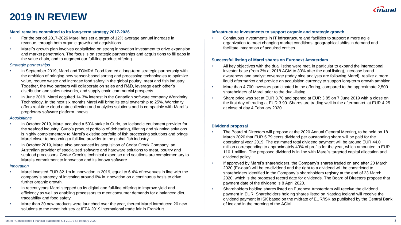

# **2019 IN REVIEW**

#### **Marel remains committed to its long-term strategy 2017-2026**

- For the period 2017-2026 Marel has set a target of 12% average annual increase in revenue, through both organic growth and acquisitions.
- Marel´s growth plan involves capitalizing on strong innovation investment to drive expansion and market penetration. The focus is on strategic partnerships and acquisitions to fill gaps in the value chain, and to augment our full-line product offering.

#### *Strategic partnerships*

- In September 2019, Marel and TOMRA Food formed a long-term strategic partnership with the ambition of bringing new sensor-based sorting and processing technologies to optimize value, reduce waste and increase food safety in the global poultry, meat and fish industry. Together, the two partners will collaborate on sales and R&D, leverage each other's distribution and sales networks, and supply chain commercial prospects.
- In June 2019, Marel acquired 14.3% interest in the Canadian software company Worximity Technology. In the next six months Marel will bring its total ownership to 25%. Worximity offers real-time cloud data collection and analytics solutions and is compatible with Marel´s proprietary software platform Innova.

#### *Acquisitions*

- In October 2019, Marel acquired a 50% stake in Curio, an Icelandic equipment provider for the seafood industry. Curio's product portfolio of deheading, filleting and skinning solutions is highly complementary to Marel's existing portfolio of fish processing solutions and brings Marel closer to becoming a full-line provider to the global fish industry.
- In October 2019, Marel also announced its acquisition of Cedar Creek Company, an Australian provider of specialized software and hardware solutions to meat, poultry and seafood processors. Cedar Creek's technical expertise and solutions are complementary to Marel's commitment to innovation and its Innova software.

#### *Innovation*

- Marel invested EUR 82.1m in innovation in 2019, equal to 6.4% of revenues in line with the company´s strategy of investing around 6% in innovation on a continuous basis to drive further organic growth.
- In recent years Marel stepped up its digital and full-line offering to improve yield and efficiency as well as enabling processors to meet consumer demands for a balanced diet, traceability and food safety.
- More than 30 new products were launched over the year, thereof Marel introduced 20 new solutions to the meat industry at IFFA 2019 international trade fair in Frankfurt.

#### **Infrastructure investments to support organic and strategic growth**

• Continuous investments in IT infrastructure and facilities to support a more agile organization to meet changing market conditions, geographical shifts in demand and facilitate integration of acquired entities.

#### **Successful listing of Marel shares on Euronext Amsterdam**

- All key objectives with the dual listing were met, in particular to expand the international investor base (from 3% at 2018 AGM to 30% after the dual listing), increase brand awareness and analyst coverage (today nine analysts are following Marel), realize a more liquid aftermarket and provide an acquisition currency to support long-term growth ambition.
- More than 4,700 investors participated in the offering, compared to the approximate 2,500 shareholders of Marel prior to the dual-listing.
- Share price was set at EUR 3.70 and opened at EUR 3.85 on 7 June 2019 with a close on the first day of trading at EUR 3.90. Shares are trading well in the aftermarket, at EUR 4.25 at close of day 4 February 2020.

#### **Dividend proposal**

- The Board of Directors will propose at the 2020 Annual General Meeting, to be held on 18 March 2020 that EUR 5.79 cents dividend per outstanding share will be paid for the operational year 2019. The estimated total dividend payment will be around EUR 44.0 million corresponding to approximately 40% of profits for the year, which amounted to EUR 110.1 million. The proposed dividend is in line with Marel's targeted capital allocation and dividend policy.
- If approved by Marel's shareholders, the Company's shares traded on and after 20 March 2020 (Ex-date) will be ex-dividend and the right to a dividend will be constricted to shareholders identified in the Company´s shareholders registry at the end of 23 March 2020, which is the proposed record date for dividends. The Board of Directors propose that payment date of the dividend is 8 April 2020.
- Shareholders holding shares listed on Euronext Amsterdam will receive the dividend payment in EUR. Shareholders holding shares listed on Nasdaq Iceland will receive the dividend payment in ISK based on the midrate of EUR/ISK as published by the Central Bank of Iceland in the morning of the AGM.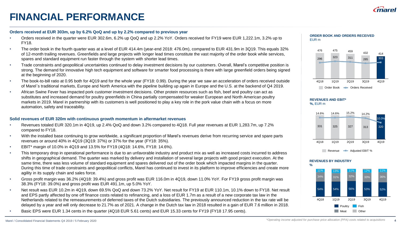# **FINANCIAL PERFORMANCE**

### **Orders received at EUR 303m, up by 6.2% QoQ and up by 2.2% compared to previous year**

- Orders received in the quarter were EUR 302.6m, 6.2% up QoQ and up 2.2% YoY. Orders received for FY19 were EUR 1,222.1m, 3.2% up to FY18.
- The order book in the fourth quarter was at a level of EUR 414.4m (year-end 2018: 476.0m), compared to EUR 431.9m in 3Q19. This equals 32% of 12-month trailing revenues. Greenfields and large projects with longer lead times constitute the vast majority of the order book while services, spares and standard equipment run faster through the system with shorter lead times.
- Trade constraints and geopolitical uncertainties continued to delay investment decisions by our customers. Overall, Marel's competitive position is strong. The demand for innovative high tech equipment and software for smarter food processing is there with large greenfield orders being signed at the beginning of 2020.
- The book-to-bill ratio at 0.95 both for 4Q19 and for the whole year (FY18: 0.99). During the year we saw an acceleration of orders received outside of Marel´s traditional markets, Europe and North America with the pipeline building up again in Europe and the U.S. at the backend of Q4 2019.
- African Swine Fever has impacted pork customer investment decisions. Other protein resources such as fish, beef and poultry can act as substitutes and increased demand for poultry greenfields in China partially compensated for weaker European and North American poultry markets in 2019. Marel in partnership with its customers is well positioned to play a key role in the pork value chain with a focus on more automation, safety and traceability.

### **Solid revenues of EUR 320m with continuous growth momentum in aftermarket revenues**

- Revenues totaled EUR 320.1m in 4Q19, up 2.4% QoQ and down 3.2% compared to 4Q18. Full year revenues at EUR 1,283.7m, up 7.2% compared to FY18.
- With the installed base continuing to grow worldwide, a significant proportion of Marel's revenues derive from recurring service and spare parts revenues or around 40% in 4Q19 (3Q19: 37%) or 37% for the year (FY18: 35%).
- EBIT\* margin of 10.0% in 4Q19 and 13.5% for FY19 (4Q18: 14.6%, FY18: 14.6%).
- This temporary drop in operational performance is due to an unfavorable industry and product mix as well as increased costs incurred to address shifts in geographical demand. The quarter was marked by delivery and installation of several large projects with good project execution. At the same time, there was less volume of standard equipment and spares delivered out of the order book which impacted margins in the quarter. During this time of trade constraints and geopolitical conflicts, Marel has continued to invest in its platform to improve efficiencies and create more agility in its supply chain and sales force.
- Gross profit margin was 36.2% (4Q18: 39.4%) and gross profit was EUR 116.0m in 4Q19, down 11.0% YoY. For FY19 gross profit margin was 38.3% (FY18: 39.0%) and gross profit was EUR 491.1m, up 5.0% YoY.
- Net result was EUR 10.2m in 4Q19, down 69.5% QoQ and down 73.2% YoY. Net result for FY19 at EUR 110.1m, 10.1% down to FY18. Net result and EPS partly affected by one off finance costs related to refinancing, and a loss of EUR 1.7m as a result of a new corporate tax law in the Netherlands related to the remeasurements of deferred taxes of the Dutch subsidiaries. The previously announced reduction in the tax rate will be delayed by a year and will only decrease to 21.7% as of 2021. A change in the Dutch tax law in 2018 resulted in a gain of EUR 7.6 million in 2018.
- Basic EPS were EUR 1.34 cents in the quarter (4Q18 EUR 5.61 cents) and EUR 15.33 cents for FY19 (FY18 17.95 cents).





#### **REVENUES AND EBIT\* %,** EUR m





#### **REVENUES BY INDUSTRY**

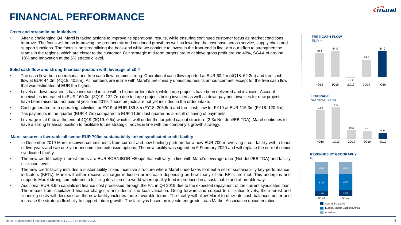# **FINANCIAL PERFORMANCE**

#### **Costs and streamlining initiatives**

• After a challenging Q4, Marel is taking actions to improve its operational results, while ensuring continued customer focus as market conditions improve. The focus will be on improving the product mix and continued growth as well as lowering the cost base across service, supply chain and support functions. The focus is on streamlining the back-end while we continue to invest in the front-end in line with our effort to strengthen the teams in the regions, which are closer to the customer. Our strategic mid-term targets are to achieve gross profit around 40%, SG&A of around 18% and Innovation at the 6% strategic level.

#### **Solid cash flow and strong financial position with leverage of x0.4**

- The cash flow, both operational and free cash flow remains strong. Operational cash flow reported at EUR 60.2m (4Q18: 62.2m) and free cash flow at EUR 44.0m (4Q18: 40.5m). All numbers are in line with Marel´s preliminary unaudited results announcement, except for the free cash flow that was estimated at EUR 9m higher.
- Levels of down payments have increased in line with a higher order intake, while large projects have been delivered and invoiced. Account receivables increased to EUR 160.0m (3Q19: 132.7m) due to large projects being invoiced as well as down payment invoices for new projects have been raised but not paid at year end 2019. Those projects are not yet included in the order intake.
- Cash generated from operating activities for FY19 at EUR 189.8m (FY18: 205.8m) and free cash flow for FY19 at EUR 115.3m (FY18: 120.6m).
- Tax payments in the quarter (EUR 4.7m) compared to EUR 11.5m last quarter as a result of timing of payments.
- Leverage is at 0.4x at the end of 4Q19 (3Q19: 0.5x) which is well under the targeted capital structure (2-3x Net debt/EBITDA). Marel continues to have a strong financial position to facilitate future strategic moves in line with the company´s growth strategy.

#### **Marel secures a favorable all senior EUR 700m sustainability linked syndicated credit facility**

- In December 2019 Marel received commitments from current and new banking partners for a new EUR 700m revolving credit facility with a tenor of five-years and two one-year uncommitted extension options. The new facility was signed on 5 February 2020 and will replace the current senior syndicated facility.
- The new credit facility interest terms are EURIBOR/LIBOR +80bps that will vary in line with Marel's leverage ratio (Net debt/EBITDA) and facility utilization level.
- The new credit facility includes a sustainability linked incentive structure where Marel undertakes to meet a set of sustainability key-performanceindicators (KPI's). Marel will either receive a margin reduction or increase depending on how many of the KPI's are met. This underpins and supports Marel strong commitment to fulfilling its vision of a world where quality food is produced in a sustainable and affordable way.
- Additional EUR 8.9m capitalized finance cost processed through the P/L in Q4 2019 due to the expected repayment of the current syndicated loan. The impact from capitalized finance charges is included in the loan valuation. Going forward and subject to utilization levels, the interest and financing costs will decrease as the new facility includes more favorable terms. The facility will allow Marel to utilize its cash balances better and increase the strategic flexibility to support future growth. The facility is based on investment-grade Loan Market Association documentation.





-1.7

4Q18 1Q19 2Q19 3Q19 4Q19

44.0

#### **REVENUES BY GEOGRAPHY**

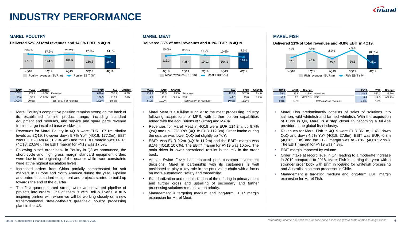# **INDUSTRY PERFORMANCE**

#### **MAREL POULTRY MAREL MEAT MAREL FISH**



| 4Q19  | 4Q18  | Change   |                         | <b>FY19</b> | FY18  | Change |
|-------|-------|----------|-------------------------|-------------|-------|--------|
| 167.1 | 177.2 | $-5.7%$  | Revenues                | 690.4       | 638.2 | 8.2%   |
| 23.4  | 36.4  | $-35.7%$ | <b>FBIT</b>             | 120.5       | 117.2 | 2.8%   |
| 14.0% | 20.5% |          | EBIT as a % of revenues | 17.5%       | 18.4% |        |

- Marel Poultry's competitive position remains strong on the back of its established full-line product range, including standard equipment and modules, and service and spare parts revenue from its large installed base worldwide.
- Revenues for Marel Poultry in 4Q19 were EUR 167.1m, similar levels as 3Q19, however down 5.7% YoY (4Q18: 177.2m). EBIT was EUR 23.4m (4Q18: 36.4m) and the EBIT margin was 14.0% (4Q18: 20.5%). The EBIT margin for FY19 was 17.5%.
- Following a soft order book in Poultry in Q3 as announced, the short cycle and high gross margin standard equipment orders were low in the beginning of the quarter while trade constraints were at the highest escalation levels.
- Increased orders from China partially compensated for soft markets in Europe and North America during the year. Pipeline and orders in standard equipment and projects started to build up towards the end of the quarter.
- The first quarter started strong were we converted pipeline of projects into orders. One of them is with Bell & Evans, a truly inspiring partner with whom we will be working closely on a new transformational state-of-the-art greenfield poultry processing plant in the US.



| 4Q19  | 4Q18  | Change   |                          | FY19  | <b>FY18</b> | Change |
|-------|-------|----------|--------------------------|-------|-------------|--------|
| 114.2 | 112.3 | 1.7%     | Revenues                 | 423.2 | 387.0       | 9.4%   |
| 9.2   | 11.2  | $-17.9%$ | <b>EBIT*</b>             | 44.6  | 43.8        | 1.8%   |
| 8.1%  | 10.0% |          | EBIT* as a % of revenues | 10.5% | 11.3%       |        |

- Marel Meat is a full-line supplier to the meat processing industry following acquisitions of MPS, with further bolt-on capabilities added with the acquisitions of Sulmaq and MAJA.
- Revenues for Marel Meat in 4Q19 were EUR 114.2m, up 9.7% QoQ and up 1.7% YoY (4Q18: EUR 112.3m). Order intake during the quarter was lower QoQ but slightly up YoY.
- EBIT\* was EUR 9.2m (4Q18: 11.2m) and the EBIT\* margin was 8.1% (4Q18: 10.0%). The EBIT\* margin for FY19 was 10.5%. The main driver in lower operational results is the mix in the order book.
- African Swine Fever has impacted pork customer investment decisions. Marel in partnership with its customers is well positioned to play a key role in the pork value chain with a focus on more automation, safety and traceability.
- Standardization and modularization of the offering in primary meat and further cross and upselling of secondary and further processing solutions remains a top priority.
- Management is targeting medium and long-term EBIT\* margin expansion for Marel Meat.

**Delivered 52% of total revenues and 14.0% EBIT in 4Q19. Delivered 36% of total revenues and 8.1% EBIT\* in 4Q19. Delivered 11% of total revenues and -0.8% EBIT in 4Q19.** 



| 4Q19    | 4Q18 | Change    |                         | <b>FY19</b> | <b>FY18</b> | Change   |
|---------|------|-----------|-------------------------|-------------|-------------|----------|
| 36.1    | 37.8 | $-4.5%$   | Revenues                | 148.5       | 159.1       | $-6.7%$  |
| $-0.3$  | 1.1  | $-127.3%$ | <b>FBIT</b>             | 6.4         | 12.6        | $-49.2%$ |
| $-0.8%$ | 2.9% |           | EBIT as a % of revenues | 4.3%        | 7.9%        |          |

- Marel Fish predominantly consists of sales of solutions into salmon, wild whitefish and farmed whitefish. With the acquisition of Curio in Q4, Marel is a step closer to becoming a full-line provider to the global fish industry.
- Revenues for Marel Fish in 4Q19 were EUR 36.1m, 1.4% down QoQ and down 4.5% YoY (4Q18: 37.8m). EBIT was EUR -0.3m (4Q18: 1.1m) and the EBIT margin was at -0.8% (4Q18: 2.9%). The EBIT margin for FY19 was 4.3%.
- EBIT margin impacted by volume.
- Order intake at record level in Q4, leading to a moderate increase in 2019 compared to 2018. Marel Fish is starting the year with a stronger order book with Brim in Iceland for whitefish processing and Australis, a salmon processor in Chile.
- Management is targeting medium and long-term EBIT margin expansion for Marel Fish.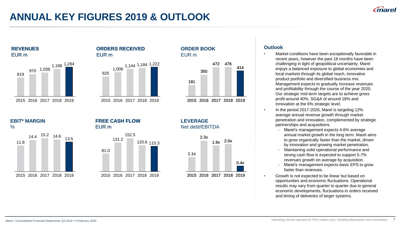# **ANNUAL KEY FIGURES 2019 & OUTLOOK**





### **ORDERS RECEIVED** EUR m



### **ORDER BOOK** EUR m



2015 2016 2017 2018 2019

**LEVERAGE** Net debt/EBITDA



2015 2016 2017 2018 2019

### **Outlook**

- Market conditions have been exceptionally favorable in recent years, however the past 18 months have been challenging in light of geopolitical uncertainty. Marel enjoys a balanced exposure to global economies and local markets through its global reach, innovative product portfolio and diversified business mix. Management expects to gradually increase revenues and profitability through the course of the year 2020. Our strategic mid-term targets are to achieve gross profit around 40%, SG&A of around 18% and Innovation at the 6% strategic level.
- In the period 2017-2026, Marel is targeting 12% average annual revenue growth through market penetration and innovation, complemented by strategic partnerships and acquisitions.
	- Marel's management expects 4-6% average annual market growth in the long term. Marel aims to grow organically faster than the market, driven by innovation and growing market penetration.
	- Maintaining solid operational performance and strong cash flow is expected to support 5-7% revenues growth on average by acquisition.
	- Marel's management expects basic EPS to grow faster than revenues.
- Growth is not expected to be linear but based on opportunities and economic fluctuations. Operational results may vary from quarter to quarter due to general economic developments, fluctuations in orders received and timing of deliveries of larger systems.

### **EBIT\* MARGIN**

 $\%$ 





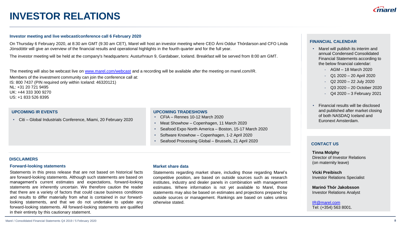# **INVESTOR RELATIONS**

#### **Investor meeting and live webcast/conference call 6 February 2020**

On Thursday 6 February 2020, at 8:30 am GMT (9:30 am CET), Marel will host an investor meeting where CEO Árni Oddur Thórdarson and CFO Linda Jónsdóttir will give an overview of the financial results and operational highlights in the fourth quarter and for the full year.

The investor meeting will be held at the company's headquarters: Austurhraun 9, Gardabaer, Iceland. Breakfast will be served from 8:00 am GMT.

The meeting will also be webcast live on [www.marel.com/webcast](http://www.marel.com/webcast) and a recording will be available after the meeting on marel.com/IR. Members of the investment community can join the conference call at: IS: 800 7437 (PIN required only within Iceland: 46320121) NL: +31 20 721 9495 UK: +44 333 300 9270 US: +1 833 526 8395

• Citi – Global Industrials Conference, Miami, 20 February <sup>2020</sup> • CFIA – Rennes 10-12 March <sup>2020</sup>

#### **UPCOMING IR EVENTS UPCOMING TRADESHOWS**

- 
- Meat Showhow Copenhagen, 11 March 2020
- Seafood Expo North America Boston, 15-17 March 2020
- Software Knowhow Copenhagen, 1-2 April 2020
- Seafood Processing Global Brussels, 21 April 2020

#### **DISCLAIMERS**

#### **Forward-looking statements**

Statements in this press release that are not based on historical facts are forward-looking statements. Although such statements are based on management's current estimates and expectations, forward-looking statements are inherently uncertain. We therefore caution the reader that there are a variety of factors that could cause business conditions and results to differ materially from what is contained in our forwardlooking statements, and that we do not undertake to update any forward-looking statements. All forward-looking statements are qualified in their entirety by this cautionary statement.

#### **Market share data**

Statements regarding market share, including those regarding Marel's competitive position, are based on outside sources such as research institutes, industry and dealer panels in combination with management estimates. Where information is not yet available to Marel, those statements may also be based on estimates and projections prepared by outside sources or management. Rankings are based on sales unless otherwise stated.

#### **FINANCIAL CALENDAR**

- Marel will publish its interim and annual Condensed Consolidated Financial Statements according to the below financial calendar:
	- AGM 18 March 2020
	- Q1 2020 20 April 2020
	- Q2 2020 22 July 2020
	- Q3 2020 20 October 2020
	- Q4 2020 3 February 2021
- Financial results will be disclosed and published after market closing of both NASDAQ Iceland and Euronext Amsterdam.

#### **CONTACT US**

#### **Tinna Molphy** Director of Investor Relations (on maternity leave)

**Vicki Preibisch** Investor Relations Specialist

**Marinó Thór Jakobsson** Investor Relations Analyst

[IR@marel.com](mailto:IR@marel.com) Tel: (+354) 563 8001.